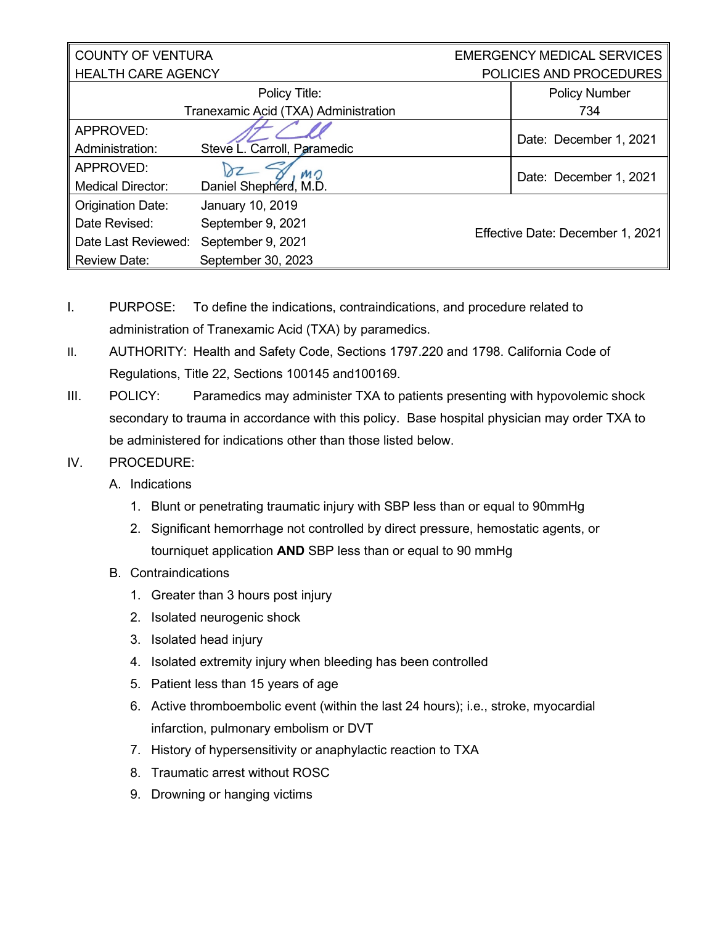| <b>COUNTY OF VENTURA</b>             |                             |  | <b>EMERGENCY MEDICAL SERVICES</b> |  |
|--------------------------------------|-----------------------------|--|-----------------------------------|--|
| <b>HEALTH CARE AGENCY</b>            |                             |  | POLICIES AND PROCEDURES           |  |
|                                      | Policy Title:               |  | <b>Policy Number</b>              |  |
| Tranexamic Acid (TXA) Administration |                             |  | 734                               |  |
| APPROVED:                            |                             |  | Date: December 1, 2021            |  |
| Administration:                      | Steve L. Carroll, Paramedic |  |                                   |  |
| APPROVED:                            | MO                          |  | Date: December 1, 2021            |  |
| <b>Medical Director:</b>             | Daniel Shepherd, M.D.       |  |                                   |  |
| <b>Origination Date:</b>             | January 10, 2019            |  |                                   |  |
| Date Revised:                        | September 9, 2021           |  | Effective Date: December 1, 2021  |  |
| Date Last Reviewed:                  | September 9, 2021           |  |                                   |  |
| <b>Review Date:</b>                  | September 30, 2023          |  |                                   |  |

- I. PURPOSE: To define the indications, contraindications, and procedure related to administration of Tranexamic Acid (TXA) by paramedics.
- II. AUTHORITY: Health and Safety Code, Sections 1797.220 and 1798. California Code of Regulations, Title 22, Sections 100145 and100169.
- III. POLICY: Paramedics may administer TXA to patients presenting with hypovolemic shock secondary to trauma in accordance with this policy. Base hospital physician may order TXA to be administered for indications other than those listed below.
- IV. PROCEDURE:
	- A. Indications
		- 1. Blunt or penetrating traumatic injury with SBP less than or equal to 90mmHg
		- 2. Significant hemorrhage not controlled by direct pressure, hemostatic agents, or tourniquet application **AND** SBP less than or equal to 90 mmHg
	- B. Contraindications
		- 1. Greater than 3 hours post injury
		- 2. Isolated neurogenic shock
		- 3. Isolated head injury
		- 4. Isolated extremity injury when bleeding has been controlled
		- 5. Patient less than 15 years of age
		- 6. Active thromboembolic event (within the last 24 hours); i.e., stroke, myocardial infarction, pulmonary embolism or DVT
		- 7. History of hypersensitivity or anaphylactic reaction to TXA
		- 8. Traumatic arrest without ROSC
		- 9. Drowning or hanging victims